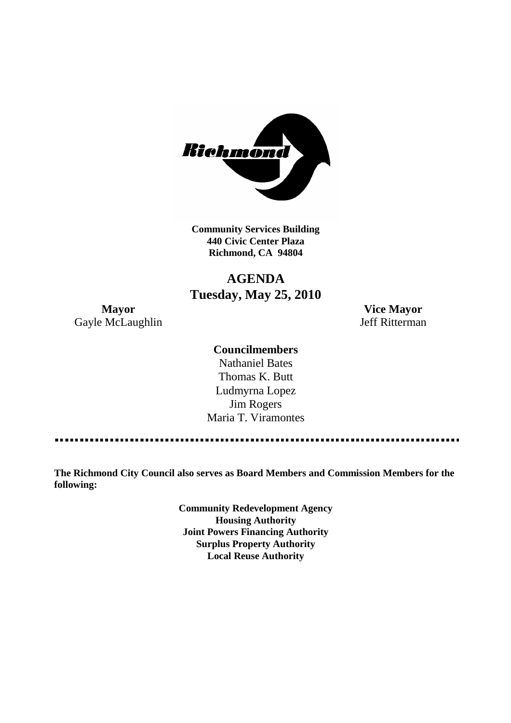

**Community Services Building 440 Civic Center Plaza Richmond, CA 94804**

# **AGENDA Tuesday, May 25, 2010**

**Mayor Vice Mayor** Gayle McLaughlin Jeff Ritterman

# **Councilmembers**

Nathaniel Bates Thomas K. Butt Ludmyrna Lopez Jim Rogers Maria T. Viramontes

**The Richmond City Council also serves as Board Members and Commission Members for the following:**

> **Community Redevelopment Agency Housing Authority Joint Powers Financing Authority Surplus Property Authority Local Reuse Authority**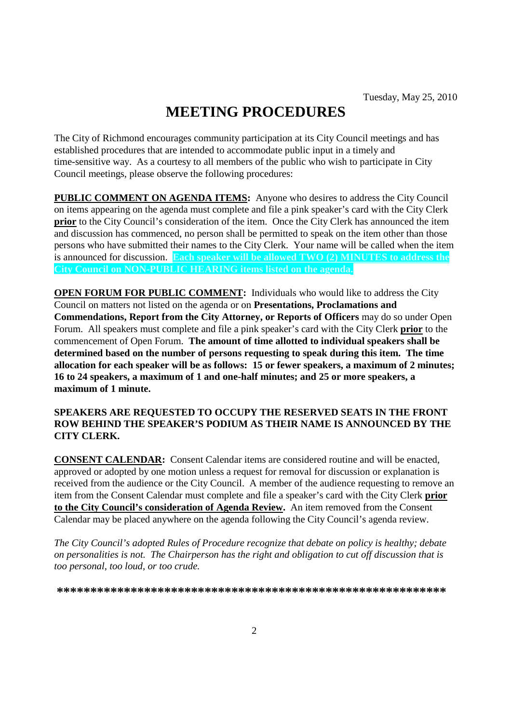# **MEETING PROCEDURES**

The City of Richmond encourages community participation at its City Council meetings and has established procedures that are intended to accommodate public input in a timely and time-sensitive way. As a courtesy to all members of the public who wish to participate in City Council meetings, please observe the following procedures:

**PUBLIC COMMENT ON AGENDA ITEMS:** Anyone who desires to address the City Council on items appearing on the agenda must complete and file a pink speaker's card with the City Clerk **prior** to the City Council's consideration of the item. Once the City Clerk has announced the item and discussion has commenced, no person shall be permitted to speak on the item other than those persons who have submitted their names to the City Clerk. Your name will be called when the item is announced for discussion. **Each speaker will be allowed TWO (2) MINUTES to address the City Council on NON-PUBLIC HEARING items listed on the agenda.**

**OPEN FORUM FOR PUBLIC COMMENT:** Individuals who would like to address the City Council on matters not listed on the agenda or on **Presentations, Proclamations and Commendations, Report from the City Attorney, or Reports of Officers** may do so under Open Forum. All speakers must complete and file a pink speaker's card with the City Clerk **prior** to the commencement of Open Forum. **The amount of time allotted to individual speakers shall be determined based on the number of persons requesting to speak during this item. The time allocation for each speaker will be as follows: 15 or fewer speakers, a maximum of 2 minutes; 16 to 24 speakers, a maximum of 1 and one-half minutes; and 25 or more speakers, a maximum of 1 minute.**

### **SPEAKERS ARE REQUESTED TO OCCUPY THE RESERVED SEATS IN THE FRONT ROW BEHIND THE SPEAKER'S PODIUM AS THEIR NAME IS ANNOUNCED BY THE CITY CLERK.**

**CONSENT CALENDAR:** Consent Calendar items are considered routine and will be enacted, approved or adopted by one motion unless a request for removal for discussion or explanation is received from the audience or the City Council. A member of the audience requesting to remove an item from the Consent Calendar must complete and file a speaker's card with the City Clerk **prior to the City Council's consideration of Agenda Review.** An item removed from the Consent Calendar may be placed anywhere on the agenda following the City Council's agenda review.

*The City Council's adopted Rules of Procedure recognize that debate on policy is healthy; debate on personalities is not. The Chairperson has the right and obligation to cut off discussion that is too personal, too loud, or too crude.*

**\*\*\*\*\*\*\*\*\*\*\*\*\*\*\*\*\*\*\*\*\*\*\*\*\*\*\*\*\*\*\*\*\*\*\*\*\*\*\*\*\*\*\*\*\*\*\*\*\*\*\*\*\*\*\*\*\*\***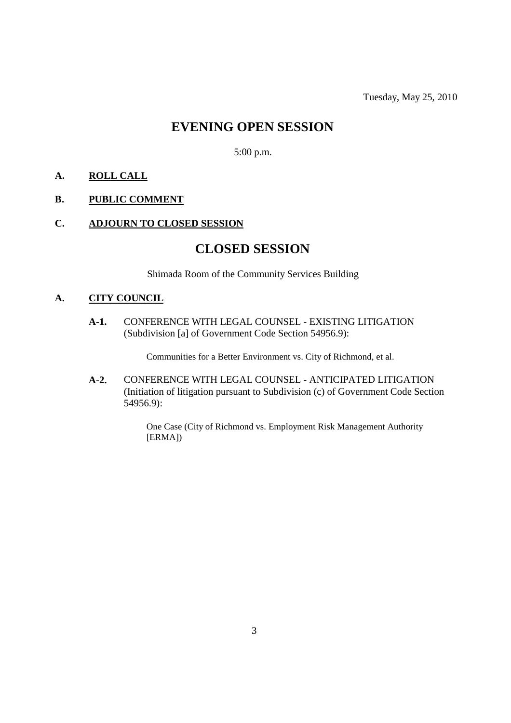# **EVENING OPEN SESSION**

5:00 p.m.

# **A. ROLL CALL**

# **B. PUBLIC COMMENT**

# **C. ADJOURN TO CLOSED SESSION**

# **CLOSED SESSION**

Shimada Room of the Community Services Building

# **A. CITY COUNCIL**

**A-1.** CONFERENCE WITH LEGAL COUNSEL - EXISTING LITIGATION (Subdivision [a] of Government Code Section 54956.9):

Communities for a Better Environment vs. City of Richmond, et al.

**A-2.** CONFERENCE WITH LEGAL COUNSEL - ANTICIPATED LITIGATION (Initiation of litigation pursuant to Subdivision (c) of Government Code Section 54956.9):

> One Case (City of Richmond vs. Employment Risk Management Authority [ERMA])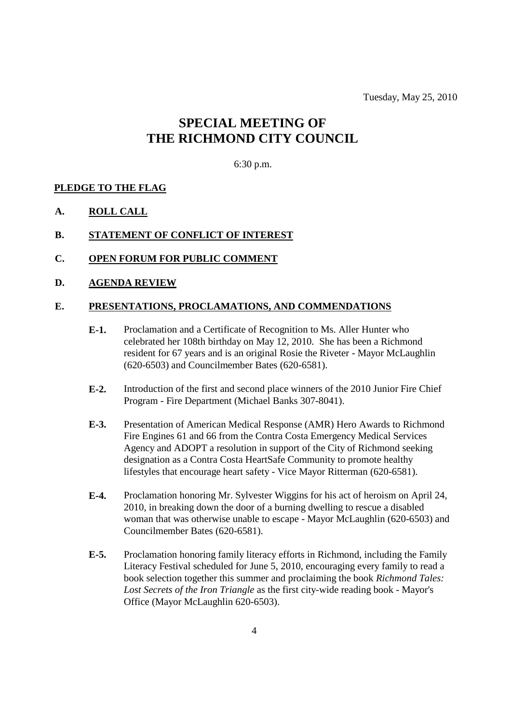Tuesday, May 25, 2010

# **SPECIAL MEETING OF THE RICHMOND CITY COUNCIL**

#### 6:30 p.m.

#### **PLEDGE TO THE FLAG**

**A. ROLL CALL**

### **B. STATEMENT OF CONFLICT OF INTEREST**

**C. OPEN FORUM FOR PUBLIC COMMENT**

#### **D. AGENDA REVIEW**

#### **E. PRESENTATIONS, PROCLAMATIONS, AND COMMENDATIONS**

- **E-1.** Proclamation and a Certificate of Recognition to Ms. Aller Hunter who celebrated her 108th birthday on May 12, 2010. She has been a Richmond resident for 67 years and is an original Rosie the Riveter - Mayor McLaughlin (620-6503) and Councilmember Bates (620-6581).
- **E-2.** Introduction of the first and second place winners of the 2010 Junior Fire Chief Program - Fire Department (Michael Banks 307-8041).
- **E-3.** Presentation of American Medical Response (AMR) Hero Awards to Richmond Fire Engines 61 and 66 from the Contra Costa Emergency Medical Services Agency and ADOPT a resolution in support of the City of Richmond seeking designation as a Contra Costa HeartSafe Community to promote healthy lifestyles that encourage heart safety - Vice Mayor Ritterman (620-6581).
- **E-4.** Proclamation honoring Mr. Sylvester Wiggins for his act of heroism on April 24, 2010, in breaking down the door of a burning dwelling to rescue a disabled woman that was otherwise unable to escape - Mayor McLaughlin (620-6503) and Councilmember Bates (620-6581).
- **E-5.** Proclamation honoring family literacy efforts in Richmond, including the Family Literacy Festival scheduled for June 5, 2010, encouraging every family to read a book selection together this summer and proclaiming the book *Richmond Tales: Lost Secrets of the Iron Triangle* as the first city-wide reading book - Mayor's Office (Mayor McLaughlin 620-6503).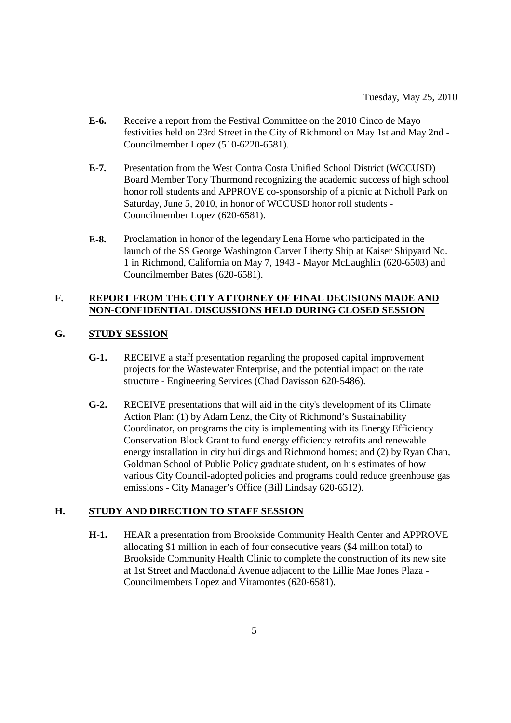- **E-6.** Receive a report from the Festival Committee on the 2010 Cinco de Mayo festivities held on 23rd Street in the City of Richmond on May 1st and May 2nd - Councilmember Lopez (510-6220-6581).
- **E-7.** Presentation from the West Contra Costa Unified School District (WCCUSD) Board Member Tony Thurmond recognizing the academic success of high school honor roll students and APPROVE co-sponsorship of a picnic at Nicholl Park on Saturday, June 5, 2010, in honor of WCCUSD honor roll students - Councilmember Lopez (620-6581).
- **E-8.** Proclamation in honor of the legendary Lena Horne who participated in the launch of the SS George Washington Carver Liberty Ship at Kaiser Shipyard No. 1 in Richmond, California on May 7, 1943 - Mayor McLaughlin (620-6503) and Councilmember Bates (620-6581).

### **F. REPORT FROM THE CITY ATTORNEY OF FINAL DECISIONS MADE AND NON-CONFIDENTIAL DISCUSSIONS HELD DURING CLOSED SESSION**

# **G. STUDY SESSION**

- **G-1.** RECEIVE a staff presentation regarding the proposed capital improvement projects for the Wastewater Enterprise, and the potential impact on the rate structure - Engineering Services (Chad Davisson 620-5486).
- **G-2.** RECEIVE presentations that will aid in the city's development of its Climate Action Plan: (1) by Adam Lenz, the City of Richmond's Sustainability Coordinator, on programs the city is implementing with its Energy Efficiency Conservation Block Grant to fund energy efficiency retrofits and renewable energy installation in city buildings and Richmond homes; and (2) by Ryan Chan, Goldman School of Public Policy graduate student, on his estimates of how various City Council-adopted policies and programs could reduce greenhouse gas emissions - City Manager's Office (Bill Lindsay 620-6512).

### **H. STUDY AND DIRECTION TO STAFF SESSION**

**H-1.** HEAR a presentation from Brookside Community Health Center and APPROVE allocating \$1 million in each of four consecutive years (\$4 million total) to Brookside Community Health Clinic to complete the construction of its new site at 1st Street and Macdonald Avenue adjacent to the Lillie Mae Jones Plaza - Councilmembers Lopez and Viramontes (620-6581).